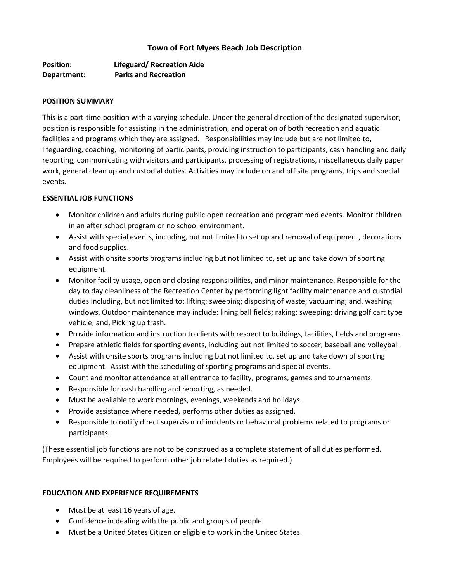# **Town of Fort Myers Beach Job Description**

**Position: Lifeguard/ Recreation Aide Department: Parks and Recreation**

#### **POSITION SUMMARY**

This is a part-time position with a varying schedule. Under the general direction of the designated supervisor, position is responsible for assisting in the administration, and operation of both recreation and aquatic facilities and programs which they are assigned. Responsibilities may include but are not limited to, lifeguarding, coaching, monitoring of participants, providing instruction to participants, cash handling and daily reporting, communicating with visitors and participants, processing of registrations, miscellaneous daily paper work, general clean up and custodial duties. Activities may include on and off site programs, trips and special events.

### **ESSENTIAL JOB FUNCTIONS**

- Monitor children and adults during public open recreation and programmed events. Monitor children in an after school program or no school environment.
- Assist with special events, including, but not limited to set up and removal of equipment, decorations and food supplies.
- Assist with onsite sports programs including but not limited to, set up and take down of sporting equipment.
- Monitor facility usage, open and closing responsibilities, and minor maintenance. Responsible for the day to day cleanliness of the Recreation Center by performing light facility maintenance and custodial duties including, but not limited to: lifting; sweeping; disposing of waste; vacuuming; and, washing windows. Outdoor maintenance may include: lining ball fields; raking; sweeping; driving golf cart type vehicle; and, Picking up trash.
- Provide information and instruction to clients with respect to buildings, facilities, fields and programs.
- Prepare athletic fields for sporting events, including but not limited to soccer, baseball and volleyball.
- Assist with onsite sports programs including but not limited to, set up and take down of sporting equipment. Assist with the scheduling of sporting programs and special events.
- Count and monitor attendance at all entrance to facility, programs, games and tournaments.
- Responsible for cash handling and reporting, as needed.
- Must be available to work mornings, evenings, weekends and holidays.
- Provide assistance where needed, performs other duties as assigned.
- Responsible to notify direct supervisor of incidents or behavioral problems related to programs or participants.

(These essential job functions are not to be construed as a complete statement of all duties performed. Employees will be required to perform other job related duties as required.)

### **EDUCATION AND EXPERIENCE REQUIREMENTS**

- Must be at least 16 years of age.
- Confidence in dealing with the public and groups of people.
- Must be a United States Citizen or eligible to work in the United States.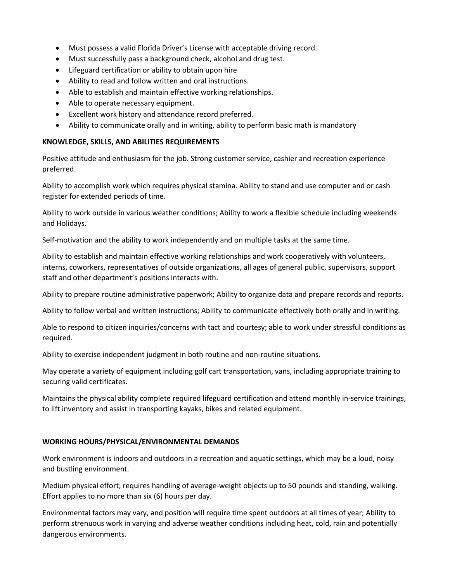- Must possess a valid Florida Driver's License with acceptable driving record.
- Must successfully pass a background check, alcohol and drug test.
- Lifeguard certification or ability to obtain upon hire
- Ability to read and follow written and oral instructions.
- Able to establish and maintain effective working relationships.
- Able to operate necessary equipment.
- Excellent work history and attendance record preferred.
- Ability to communicate orally and in writing, ability to perform basic math is mandatory

## **KNOWLEDGE, SKILLS, AND ABILITIES REQUIREMENTS**

Positive attitude and enthusiasm for the job. Strong customer service, cashier and recreation experience preferred.

Ability to accomplish work which requires physical stamina. Ability to stand and use computer and or cash register for extended periods of time.

Ability to work outside in various weather conditions; Ability to work a flexible schedule including weekends and Holidays.

Self-motivation and the ability to work independently and on multiple tasks at the same time.

Ability to establish and maintain effective working relationships and work cooperatively with volunteers, interns, coworkers, representatives of outside organizations, all ages of general public, supervisors, support staff and other department's positions interacts with.

Ability to prepare routine administrative paperwork; Ability to organize data and prepare records and reports.

Ability to follow verbal and written instructions; Ability to communicate effectively both orally and in writing.

Able to respond to citizen inquiries/concerns with tact and courtesy; able to work under stressful conditions as required.

Ability to exercise independent judgment in both routine and non-routine situations.

May operate a variety of equipment including golf cart transportation, vans, including appropriate training to securing valid certificates.

Maintains the physical ability complete required lifeguard certification and attend monthly in-service trainings, to lift inventory and assist in transporting kayaks, bikes and related equipment.

## **WORKING HOURS/PHYSICAL/ENVIRONMENTAL DEMANDS**

Work environment is indoors and outdoors in a recreation and aquatic settings, which may be a loud, noisy and bustling environment.

Medium physical effort; requires handling of average-weight objects up to 50 pounds and standing, walking. Effort applies to no more than six (6) hours per day.

Environmental factors may vary, and position will require time spent outdoors at all times of year; Ability to perform strenuous work in varying and adverse weather conditions including heat, cold, rain and potentially dangerous environments.